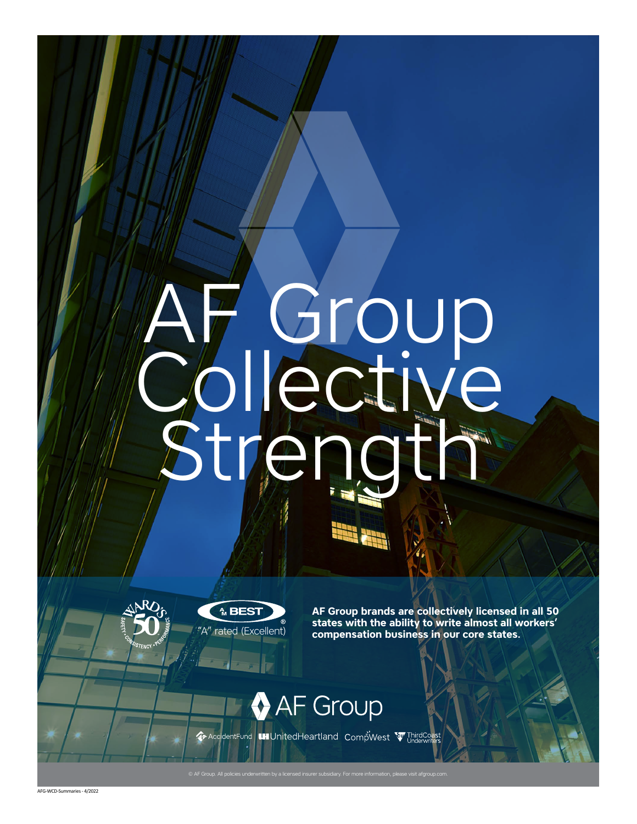## AF Group Collective Strength



**AF Group brands are collectively licensed in all 50 states with the ability to write almost all workers'**  rated (Excellent) **compensation business in our core states.** 

**AF Group** ExercidentFund | Luil United Heartland Comp West To Underwisers

AFG-WCD-Summaries - 4/2022